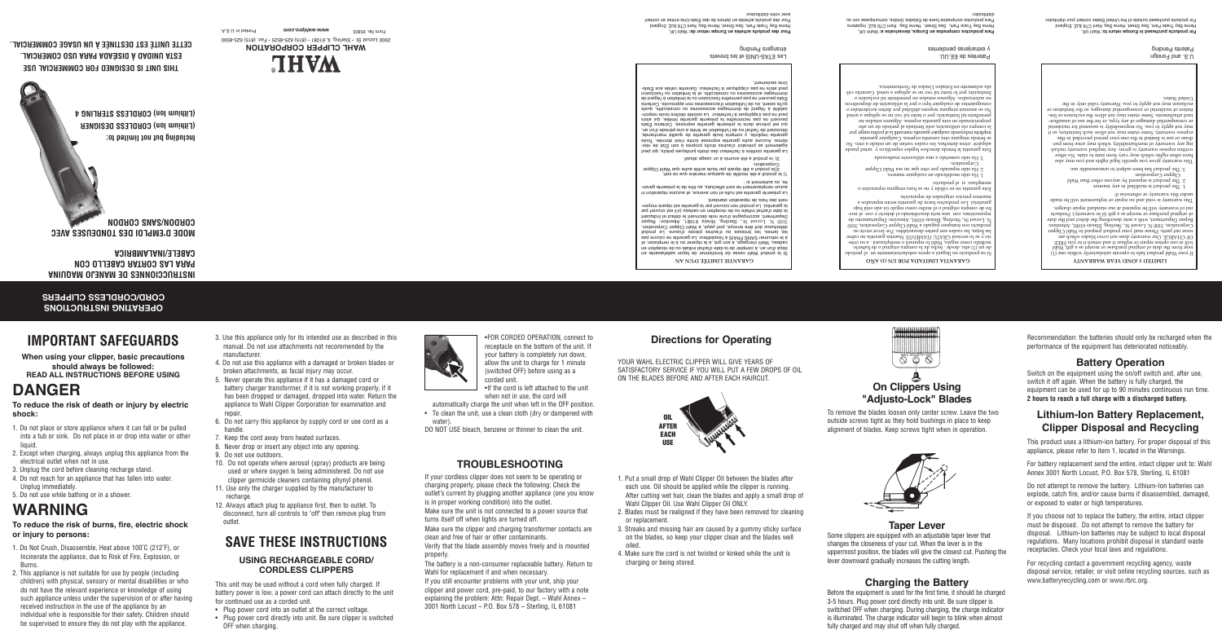2900 Locust St. • Sterling, IL 61081 • (815) 625-6525 • Fax: (815) 625-6590 Form it be form and printed in the monor or plane www.www.com A.S.A. 983030 of monor



# **GARANTIA LIMITADA POR UN (1) AÑO**

Si su producto no llegará a opera satisfactoriamente en el período de un (1) año, desde . fecha de la compra original o de haberlo - recibido como regalo, Wahl lo reparará o reemplazará . a su crite rio y se lo enviará GRATU ITAMENTE Nuestra garantía no cubre las hojas, las cuales son partes deszastables. Por favor envíe su producto con íranqueo pagado a Wahl Clipper Corporation, 3100 N. Locust St., Sterling, Illinois 61081, Atención: Departamento de - reparaciónes, con una nota describiendo el defecto y con el reci bo de compra original o el recibo como regalo (si aún está bajo garatiría). Los productos fuera de garantía serán reparados a

nuestros precios originales de reparación.

Esta garantía no es válida y no se hara ninguna reparación o reemplazo si el producto:

**LIMITED 1 (ONE) YEAR WARRANTY** If your Wahl product fails to operate satisfactorily within one (1) year from the date of original purchase or receipt as a gift, Wahl will at our option repair or replace it and return it to you FREE OF CHARGE. Our warranty does not cover blades which are wear out parts. Please mail your product prepaid to Wahl Clipper Corporation, 3100 N. Locust St., Sterling, Illinois 61081, Attention: Repair Department, with a note describing the defect and the date of original purchase or receipt as a gift (if in warranty). Products out of warranty will be repaired at our standard repair charges. This warranty is void and no replacement will be made

1. Ha sido modificado en cualquier manera.

Ha sido reparado por otro que no sea Wahl Clipper 2. 3. Ha sido sometido a una utilización inadecuada.

Corporation .

3. The product has been subject to unreasonable use. The Matrianty gives you specific legal rights and you may also have other rights which may vary from state to state. No other the restate other to state. No other the state o - ing any warranty of merchantability, which may arise from pur chase or use is limited to the one-year better or use is a set in this capacity is set in the original in the o express warranty. Some sites way not seen functions in the south soil in such as may not apply to you. No responsibility is a seminor incident for incidence in - or consequential damages of any type, or for the use of unauthor ed attachments. Some states may not allow the exclusion or limitation of incidental or consequential damages, so the limitation or extrain may not apply to you. Warranty valid only in the

For products purchased in Europe return to: Wahl UK, Herne Bay Trade Park, Sea Street, Herne Bay, Kent CT6 8JZ, England For products purchased outside of the United States contact your distributor,

Esta garantía le brinda derechos legales específicos y usted puede adquirir otros derechos, los cuales varían de un estado a otro. No se princip unguna otra zarantia expresa. Cualguier garanua por implícita incluyendo cualguier guaratía mercantil la al podria surgir por la compra ola utilización, está limitada al período de un año proporcionado en esta garantía expresa. Algunos estados no permihrán tal limitación; por o tanto tal vez no se aplique a usted. No se asumirá ninguna respons.abilidad por daños accidentales o consiguientes de cualquier tipo o por la utilización de dispositivos no autorizados. Algunos estados no permitirán tal exclusión de permitirán tal exclusión o permitirán en exclusi - limitación; por lo tanto tal vez no se aplique a usted. Garantía vál

ida solamente en Estados Unidos de Norteamérica.

Para productos comprados en Europa, devuelvalos a: Wahh UK, Herne Bay Trace Park, Sea Street, Herne Bay, Kent CT6 8JZ, Inglaterra Para productos comprados fuera de Estados Unidos, comuniquese con su

tie, ou autrement si : 1) le produit a été modifié de quelque manière que ce soit;

under this warranty or otherwise if: 1. The product is modified in any manner. The product is repaired by anyone other than Wahl 2.

Clipper Corporation

Pour des produits achetés en Europe retour de: Wahl UK, Herne Bay Trade Park, Sea Street, Herne Bay, Kent CT6 8JZ, England Pour des produits achetés en dehors de des Etats-Unis entrez en contact

**THIS UNIT IS DESIGNED FOR COMMERCIAL USE ESTA UNIDAD A DISEADA PARA USO COMERCIAL. CETTE UNITE EST DESTINEE A UN USAGE COMMERCIAL.** 

United States.

#### **GARANTIE LIMITÉE D'UN AN** Si le produit Wahl cesse de fonctionner de façon satisfaisante en

de de la date de la date de la date de la date de la disposición de la disposición en la disposición en la dis

cadeau, Wahl s'engage, à son gré, à le réparer ou à le remplacer, et à le retourner SANS FRAIS à l'expéditeur. La garantie ne couvre pas les lames, les brosses ou d'autres pièces d'usure. Le produit atorition of envoyé, protois de la Wiener Corporation, display de la payén, display in the payer of the street<br>street of the street of the street of the street of the street of the street of the street of the street of th Department, accompagné d'une note décrivant le défaut et indiquant la date d'achat initiale ou de réception en cadeau (s'il est couvert par - la garantie). Le produit non couvert par la garantie est réparé moyen nant des frais de réparation standard.

#### La présente garantie est nulle et non avenue, et aucune réparation ni - aucun remplacement ne sont effectués, au titre de la présente garan

le produit a été réparé par toute entité autre que Wahl Clipper ) 2 Corporation;

e produit a été soumis à un usage abusif. ) l 3 La garantie confère à l'acheteur des droits juridiques précis, qui peut - également se prévaloir d'autres droits propres à son État de rési dence. Aucune autre garantie expresse écrite n'est donnée. Toute garantie implicite, y compris toute garantie de qualité marchande, découlant de l'achat ou de l'utilisation se limite à une période d'un an, qui est prévue dans la présente garantie expresse. Certains États peuvent ne pas reconnaître la présente garantie limitée, qui alors - peut ne pas s'appliquer à l'acheteur. La société décline toute respon sabilité à l'égard de dommages accessoires ou consécutifs, quels qu'ils soient, ou de l'utilisation d'accessoires non approuvés. Certains

États peuvent ne pas permettre l'exclusion ou la limitation à l'égard de dommages accessoires ou consécutifs, et la limitation ou l'exclusion

 $\overline{\otimes}$   $\overline{\circ}$ **On Clippers Using "Adjusto-Lock" Blades** To remove the blades loosen only center screw. Leave the two

distribuidor.

avec votre distributeur.

**OPERATING INSTRUCTIONS CORD/CORDLESS CLIPPERS**

**INSTRUCCIONNES DE MANEJO MAQUINA** 

**PARA LAS CORTAR CABELLO CON CABELE/INALAMBRICA** 

**MODE D'EMPLOI DES TONDEUSES AVEC** 

**CORDON/SANS CORDON**

# **IMPORTANT SAFEGUARDS**

**When using your clipper, basic precautions should always be followed: READ ALL INSTRUCTIONS BEFORE USING**

# **DANGER**

**To reduce the risk of death or injury by electric shock:**

U.S. and Foreign Patents Pending

Patentes de EE.UU. y extranjeras pendientes

- 1. Do not place or store appliance where it can fall or be pulled into a tub or sink. Do not place in or drop into water or other liquid.
- 2. Except when charging, always unplug this appliance from the electrical outlet when not in use.
- 3. Unplug the cord before cleaning recharge stand.
- 4. Do not reach for an appliance that has fallen into water. Unplug immediately.
- 5. Do not use while bathing or in a shower.

# **WARNING**

#### **To reduce the risk of burns, fire, electric shock or injury to persons:**

- 1. Do Not Crush, Disassemble, Heat above 100˚C (212˚F), or Incinerate the appliance, due to Risk of Fire, Explosion, or Burns.
- 2. This appliance is not suitable for use by people (including children) with physical, sensory or mental disabilities or who do not have the relevant experience or knowledge of using such appliance unless under the supervision of or after having received instruction in the use of the appliance by an individual who is responsible for their safety. Children should be supervised to ensure they do not play with the appliance.
- 3. Use this appliance only for its intended use as described in this manual. Do not use attachments not recommended by the manufacturer.
- 4. Do not use this appliance with a damaged or broken blades or broken attachments, as facial injury may occur.
- 5. Never operate this appliance if it has a damaged cord or battery charger transformer, if it is not working properly, if it has been dropped or damaged, dropped into water. Return the appliance to Wahl Clipper Corporation for examination and repair.
- 6. Do not carry this appliance by supply cord or use cord as a handle.
- 7. Keep the cord away from heated surfaces.
- 8. Never drop or insert any object into any opening.
- 9. Do not use outdoors.
- 10. Do not operate where aerosol (spray) products are being used or where oxygen is being administered. Do not use clipper germicide cleaners containing phynyl phenol.
- 11. Use only the charger supplied by the manufacturer to recharge.
- 12. Always attach plug to appliance first, then to outlet. To disconnect, turn all controls to "off" then remove plug from outlet.

## **SAVE THESE INSTRUCTIONS USING RECHARGEABLE CORD/**

# **CORDLESS CLIPPERS**

This unit may be used without a cord when fully charged. If battery power is low, a power cord can attach directly to the unit for continued use as a corded unit.

- Plug power cord into an outlet at the correct voltage.
- Plug power cord directly into unit. Be sure clipper is switched OFF when charging.

•FOR CORDED OPERATION, connect to receptacle on the bottom of the unit. If your battery is completely run down, allow the unit to charge for 1 minute (switched OFF) before using as a

corded unit.

•If the cord is left attached to the unit when not in use, the cord will

peut alors ne pas s'appliquer à l'acheteur. Garantie valide aux États-Unis seulement. Les ETAS-UNIS et les brevets étrangers Pending

automatically charge the unit when left in the OFF position. • To clean the unit, use a clean cloth (dry or dampened with

water).

DO NOT USE bleach, benzene or thinner to clean the unit.

## **TROUBLESHOOTING**

If your cordless clipper does not seem to be operating or charging properly, please check the following: Check the outlet's current by plugging another appliance (one you know is in proper working condition) into the outlet.

Make sure the unit is not connected to a power source that turns itself off when lights are turned off.

Make sure the clipper and charging transformer contacts are clean and free of hair or other contaminants.

Verify that the blade assembly moves freely and is mounted properly.

The battery is a non-consumer replaceable battery. Return to Wahl for replacement if and when necessary.

If you still encounter problems with your unit, ship your clipper and power cord, pre-paid, to our factory with a note explaining the problem: Attn: Repair Dept. – Wahl Annex – 3001 North Locust – P.O. Box 578 – Sterling, IL 61081

#### **Directions for Operating**

YOUR WAHL ELECTRIC CLIPPER WILL GIVE YEARS OF SATISFACTORY SERVICE IF YOU WILL PUT A FEW DROPS OF OIL ON THE BLADES BEFORE AND AFTER EACH HAIRCUT.

- 1. Put a small drop of Wahl Clipper Oil between the blades after each use. Oil should be applied while the clipper is running. After cutting wet hair, clean the blades and apply a small drop of Wahl Clipper Oil. Use Wahl Clipper Oil ONLY.
- 2. Blades must be realigned if they have been removed for cleaning or replacement.
- 3. Streaks and missing hair are caused by a gummy sticky surface on the blades, so keep your clipper clean and the blades well oiled.
- 4. Make sure the cord is not twisted or kinked while the unit is charging or being stored.

outside screws tight as they hold bushings in place to keep alignment of blades. Keep screws tight when in operation.



Some clippers are equipped with an adjustable taper lever that changes the closeness of your cut. When the lever is in the uppermost position, the blades will give the closest cut. Pushing the lever downward gradually increases the cutting length.

# **Charging the Battery**

Before the equipment is used for the first time, it should be charged 3-5 hours. Plug power cord directly into unit. Be sure clipper is switched OFF when charging. During charging, the charge indicator is illuminated. The charge indicator will begin to blink when almost fully charged and may shut off when fully charged.

Recommendation: the batteries should only be recharged when the performance of the equipment has deteriorated noticeably.

#### **Battery Operation**

Switch on the equipment using the on/off switch and, after use, switch it off again. When the battery is fully charged, the equipment can be used for up to 90 minutes continuous run time. **2 hours to reach a full charge with a discharged battery.**

**Lithium-Ion Battery Replacement, Clipper Disposal and Recycling**  This product uses a lithium-ion battery. For proper disposal of this appliance, please refer to item 1, located in the Warnings.

For battery replacement send the entire, intact clipper unit to: Wahl Annex 3001 North Locust, P.O. Box 578, Sterling, IL 61081 Do not attempt to remove the battery. Lithium-Ion batteries can explode, catch fire, and/or cause burns if disassembled, damaged,

or exposed to water or high temperatures.

If you choose not to replace the battery, the entire, intact clipper must be disposed. Do not attempt to remove the battery for disposal. Lithium-Ion batteries may be subject to local disposal regulations. Many locations prohibit disposal in standard waste

receptacles. Check your local laws and regulations.

For recycling contact a government recycling agency, waste disposal service, retailer, or visit online recycling sources, such as

www.batteryrecycling.com or www.rbrc.org.

**Including but not limited to: (Lithium Ion) CORDLESS DESIGNER (Lithium Ion) CORDLESS STERLING 4**